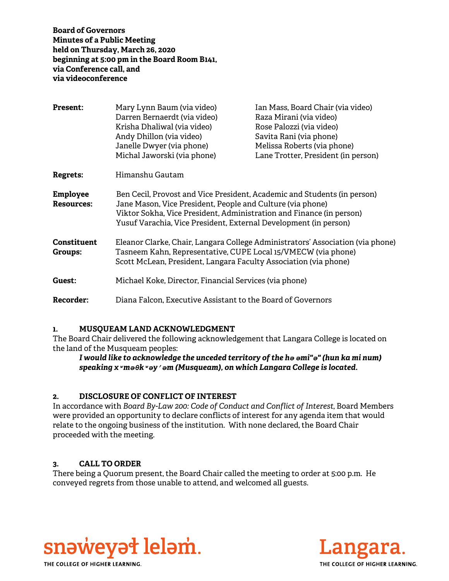**Board of Governors Minutes of a Public Meeting held on Thursday, March 26, 2020 beginning at 5:00 pm in the Board Room B141, via Conference call, and via videoconference** 

| <b>Present:</b>                      | Mary Lynn Baum (via video)<br>Darren Bernaerdt (via video)<br>Krisha Dhaliwal (via video)<br>Andy Dhillon (via video)<br>Janelle Dwyer (via phone)<br>Michal Jaworski (via phone)                                                                                                  | Ian Mass, Board Chair (via video)<br>Raza Mirani (via video)<br>Rose Palozzi (via video)<br>Savita Rani (via phone)<br>Melissa Roberts (via phone)<br>Lane Trotter, President (in person) |
|--------------------------------------|------------------------------------------------------------------------------------------------------------------------------------------------------------------------------------------------------------------------------------------------------------------------------------|-------------------------------------------------------------------------------------------------------------------------------------------------------------------------------------------|
| Regrets:                             | Himanshu Gautam                                                                                                                                                                                                                                                                    |                                                                                                                                                                                           |
| <b>Employee</b><br><b>Resources:</b> | Ben Cecil, Provost and Vice President, Academic and Students (in person)<br>Jane Mason, Vice President, People and Culture (via phone)<br>Viktor Sokha, Vice President, Administration and Finance (in person)<br>Yusuf Varachia, Vice President, External Development (in person) |                                                                                                                                                                                           |
| <b>Constituent</b><br>Groups:        | Eleanor Clarke, Chair, Langara College Administrators' Association (via phone)<br>Tasneem Kahn, Representative, CUPE Local 15/VMECW (via phone)<br>Scott McLean, President, Langara Faculty Association (via phone)                                                                |                                                                                                                                                                                           |
| Guest:                               | Michael Koke, Director, Financial Services (via phone)                                                                                                                                                                                                                             |                                                                                                                                                                                           |
| <b>Recorder:</b>                     | Diana Falcon, Executive Assistant to the Board of Governors                                                                                                                                                                                                                        |                                                                                                                                                                                           |

### **1. MUSQUEAM LAND ACKNOWLEDGMENT**

The Board Chair delivered the following acknowledgement that Langara College is located on the land of the Musqueam peoples:

# *I would like to acknowledge the unceded territory of the hә әmi"ә" (hun ka mi num) speaking xʷmәθkʷәy̓әm (Musqueam), on which Langara College is located.*

# **2. DISCLOSURE OF CONFLICT OF INTEREST**

In accordance with *Board By-Law 200: Code of Conduct and Conflict of Interest*, Board Members were provided an opportunity to declare conflicts of interest for any agenda item that would relate to the ongoing business of the institution. With none declared, the Board Chair proceeded with the meeting.

# **3. CALL TO ORDER**

There being a Quorum present, the Board Chair called the meeting to order at 5:00 p.m. He conveyed regrets from those unable to attend, and welcomed all guests.



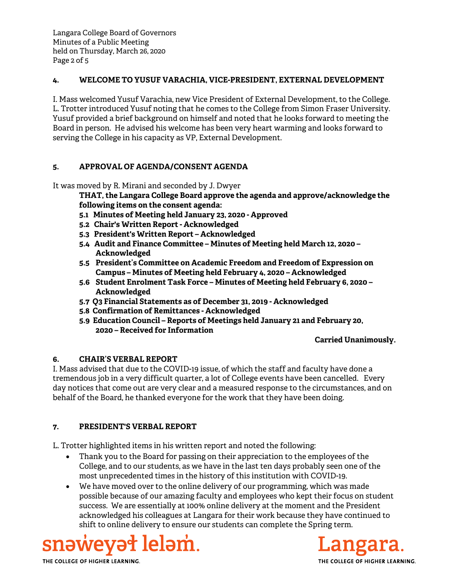Langara College Board of Governors Minutes of a Public Meeting held on Thursday, March 26, 2020 Page 2 of 5

## **4. WELCOME TO YUSUF VARACHIA, VICE-PRESIDENT, EXTERNAL DEVELOPMENT**

I. Mass welcomed Yusuf Varachia, new Vice President of External Development, to the College. L. Trotter introduced Yusuf noting that he comes to the College from Simon Fraser University. Yusuf provided a brief background on himself and noted that he looks forward to meeting the Board in person. He advised his welcome has been very heart warming and looks forward to serving the College in his capacity as VP, External Development.

# **5. APPROVAL OF AGENDA/CONSENT AGENDA**

It was moved by R. Mirani and seconded by J. Dwyer

**THAT, the Langara College Board approve the agenda and approve/acknowledge the following items on the consent agenda:**

- **5.1 Minutes of Meeting held January 23, 2020 Approved**
- **5.2 Chair's Written Report Acknowledged**
- **5.3 President's Written Report Acknowledged**
- **5.4 Audit and Finance Committee Minutes of Meeting held March 12, 2020 Acknowledged**
- **5.5 President's Committee on Academic Freedom and Freedom of Expression on Campus – Minutes of Meeting held February 4, 2020 – Acknowledged**
- **5.6 Student Enrolment Task Force Minutes of Meeting held February 6, 2020 Acknowledged**
- **5.7 Q3 Financial Statements as of December 31, 2019 Acknowledged**
- **5.8 Confirmation of Remittances Acknowledged**
- **5.9 Education Council Reports of Meetings held January 21 and February 20, 2020 – Received for Information**

### **Carried Unanimously.**

# **6. CHAIR'S VERBAL REPORT**

I. Mass advised that due to the COVID-19 issue, of which the staff and faculty have done a tremendous job in a very difficult quarter, a lot of College events have been cancelled. Every day notices that come out are very clear and a measured response to the circumstances, and on behalf of the Board, he thanked everyone for the work that they have been doing.

# **7. PRESIDENT'S VERBAL REPORT**

L. Trotter highlighted items in his written report and noted the following:

- Thank you to the Board for passing on their appreciation to the employees of the College, and to our students, as we have in the last ten days probably seen one of the most unprecedented times in the history of this institution with COVID-19.
- We have moved over to the online delivery of our programming, which was made possible because of our amazing faculty and employees who kept their focus on student success. We are essentially at 100% online delivery at the moment and the President acknowledged his colleagues at Langara for their work because they have continued to shift to online delivery to ensure our students can complete the Spring term.





THE COLLEGE OF HIGHER LEARNING.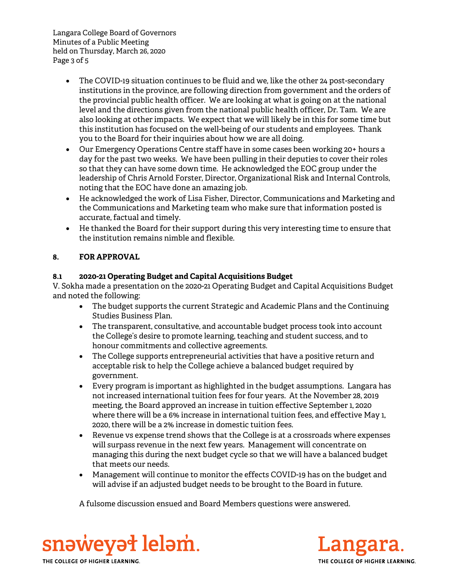Langara College Board of Governors Minutes of a Public Meeting held on Thursday, March 26, 2020 Page 3 of 5

- The COVID-19 situation continues to be fluid and we, like the other 24 post-secondary institutions in the province, are following direction from government and the orders of the provincial public health officer. We are looking at what is going on at the national level and the directions given from the national public health officer, Dr. Tam. We are also looking at other impacts. We expect that we will likely be in this for some time but this institution has focused on the well-being of our students and employees. Thank you to the Board for their inquiries about how we are all doing.
- Our Emergency Operations Centre staff have in some cases been working 20+ hours a day for the past two weeks. We have been pulling in their deputies to cover their roles so that they can have some down time. He acknowledged the EOC group under the leadership of Chris Arnold Forster, Director, Organizational Risk and Internal Controls, noting that the EOC have done an amazing job.
- He acknowledged the work of Lisa Fisher, Director, Communications and Marketing and the Communications and Marketing team who make sure that information posted is accurate, factual and timely.
- He thanked the Board for their support during this very interesting time to ensure that the institution remains nimble and flexible.

# **8. FOR APPROVAL**

# **8.1 2020-21 Operating Budget and Capital Acquisitions Budget**

V. Sokha made a presentation on the 2020-21 Operating Budget and Capital Acquisitions Budget and noted the following:

- The budget supports the current Strategic and Academic Plans and the Continuing Studies Business Plan.
- The transparent, consultative, and accountable budget process took into account the College's desire to promote learning, teaching and student success, and to honour commitments and collective agreements.
- The College supports entrepreneurial activities that have a positive return and acceptable risk to help the College achieve a balanced budget required by government.
- Every program is important as highlighted in the budget assumptions. Langara has not increased international tuition fees for four years. At the November 28, 2019 meeting, the Board approved an increase in tuition effective September 1, 2020 where there will be a 6% increase in international tuition fees, and effective May 1, 2020, there will be a 2% increase in domestic tuition fees.
- Revenue vs expense trend shows that the College is at a crossroads where expenses will surpass revenue in the next few years. Management will concentrate on managing this during the next budget cycle so that we will have a balanced budget that meets our needs.
- Management will continue to monitor the effects COVID-19 has on the budget and will advise if an adjusted budget needs to be brought to the Board in future.

A fulsome discussion ensued and Board Members questions were answered.



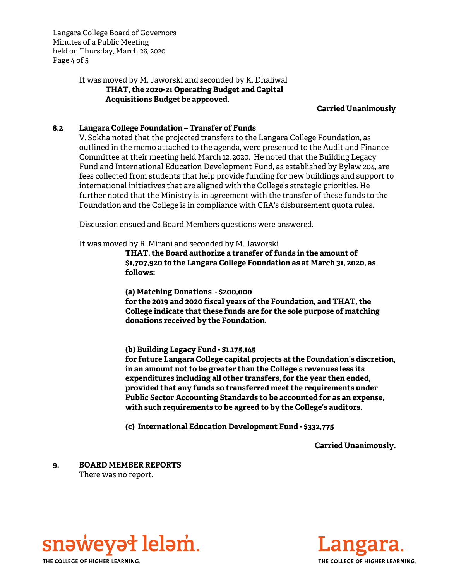Langara College Board of Governors Minutes of a Public Meeting held on Thursday, March 26, 2020 Page 4 of 5

# It was moved by M. Jaworski and seconded by K. Dhaliwal **THAT, the 2020-21 Operating Budget and Capital Acquisitions Budget be approved.**

### **Carried Unanimously**

### **8.2 Langara College Foundation – Transfer of Funds**

V. Sokha noted that the projected transfers to the Langara College Foundation, as outlined in the memo attached to the agenda, were presented to the Audit and Finance Committee at their meeting held March 12, 2020. He noted that the Building Legacy Fund and International Education Development Fund, as established by Bylaw 204, are fees collected from students that help provide funding for new buildings and support to international initiatives that are aligned with the College's strategic priorities. He further noted that the Ministry is in agreement with the transfer of these funds to the Foundation and the College is in compliance with CRA's disbursement quota rules.

Discussion ensued and Board Members questions were answered.

It was moved by R. Mirani and seconded by M. Jaworski

**THAT, the Board authorize a transfer of funds in the amount of \$1,707,920 to the Langara College Foundation as at March 31, 2020, as follows:** 

**(a) Matching Donations - \$200,000 for the 2019 and 2020 fiscal years of the Foundation, and THAT, the College indicate that these funds are for the sole purpose of matching donations received by the Foundation.** 

**(b) Building Legacy Fund - \$1,175,145** 

**for future Langara College capital projects at the Foundation's discretion, in an amount not to be greater than the College's revenues less its expenditures including all other transfers, for the year then ended, provided that any funds so transferred meet the requirements under Public Sector Accounting Standards to be accounted for as an expense, with such requirements to be agreed to by the College's auditors.** 

**(c) International Education Development Fund - \$332,775** 

**Carried Unanimously.** 

**9. BOARD MEMBER REPORTS**  There was no report.

snəweyət leləm. THE COLLEGE OF HIGHER LEARNING.